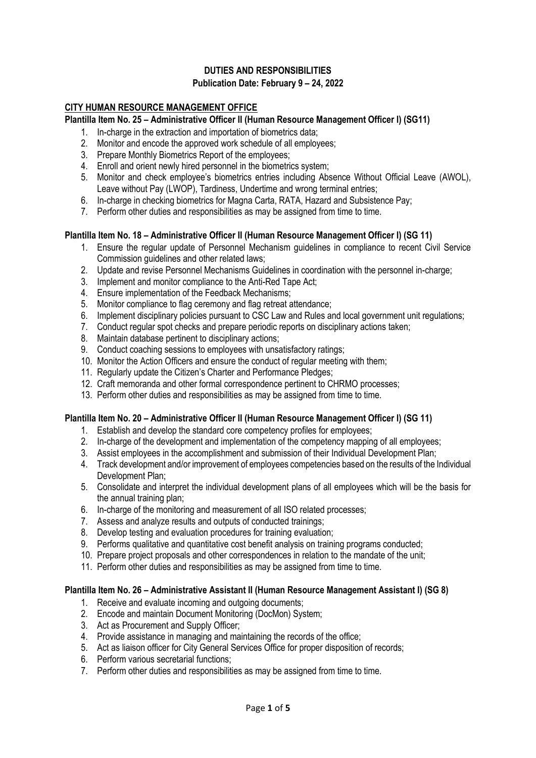### **DUTIES AND RESPONSIBILITIES Publication Date: February 9 – 24, 2022**

## **CITY HUMAN RESOURCE MANAGEMENT OFFICE**

#### **Plantilla Item No. 25 – Administrative Officer II (Human Resource Management Officer I) (SG11)**

- 1. In-charge in the extraction and importation of biometrics data;
- 2. Monitor and encode the approved work schedule of all employees;
- 3. Prepare Monthly Biometrics Report of the employees;
- 4. Enroll and orient newly hired personnel in the biometrics system;
- 5. Monitor and check employee's biometrics entries including Absence Without Official Leave (AWOL), Leave without Pay (LWOP), Tardiness, Undertime and wrong terminal entries;
- 6. In-charge in checking biometrics for Magna Carta, RATA, Hazard and Subsistence Pay;
- 7. Perform other duties and responsibilities as may be assigned from time to time.

#### **Plantilla Item No. 18 – Administrative Officer II (Human Resource Management Officer I) (SG 11)**

- 1. Ensure the regular update of Personnel Mechanism guidelines in compliance to recent Civil Service Commission guidelines and other related laws;
- 2. Update and revise Personnel Mechanisms Guidelines in coordination with the personnel in-charge:
- 3. Implement and monitor compliance to the Anti-Red Tape Act;
- 4. Ensure implementation of the Feedback Mechanisms;
- 5. Monitor compliance to flag ceremony and flag retreat attendance;
- 6. Implement disciplinary policies pursuant to CSC Law and Rules and local government unit regulations;
- 7. Conduct regular spot checks and prepare periodic reports on disciplinary actions taken;
- 8. Maintain database pertinent to disciplinary actions;
- 9. Conduct coaching sessions to employees with unsatisfactory ratings;
- 10. Monitor the Action Officers and ensure the conduct of regular meeting with them;
- 11. Regularly update the Citizen's Charter and Performance Pledges;
- 12. Craft memoranda and other formal correspondence pertinent to CHRMO processes;
- 13. Perform other duties and responsibilities as may be assigned from time to time.

### **Plantilla Item No. 20 – Administrative Officer II (Human Resource Management Officer I) (SG 11)**

- 1. Establish and develop the standard core competency profiles for employees;
- 2. In-charge of the development and implementation of the competency mapping of all employees;
- 3. Assist employees in the accomplishment and submission of their Individual Development Plan;
- 4. Track development and/or improvement of employees competencies based on the results of the Individual Development Plan;
- 5. Consolidate and interpret the individual development plans of all employees which will be the basis for the annual training plan;
- 6. In-charge of the monitoring and measurement of all ISO related processes;
- 7. Assess and analyze results and outputs of conducted trainings;
- 8. Develop testing and evaluation procedures for training evaluation;
- 9. Performs qualitative and quantitative cost benefit analysis on training programs conducted;
- 10. Prepare project proposals and other correspondences in relation to the mandate of the unit;
- 11. Perform other duties and responsibilities as may be assigned from time to time.

#### **Plantilla Item No. 26 – Administrative Assistant II (Human Resource Management Assistant I) (SG 8)**

- 1. Receive and evaluate incoming and outgoing documents;
- 2. Encode and maintain Document Monitoring (DocMon) System;
- 3. Act as Procurement and Supply Officer;
- 4. Provide assistance in managing and maintaining the records of the office;
- 5. Act as liaison officer for City General Services Office for proper disposition of records;
- 6. Perform various secretarial functions;
- 7. Perform other duties and responsibilities as may be assigned from time to time.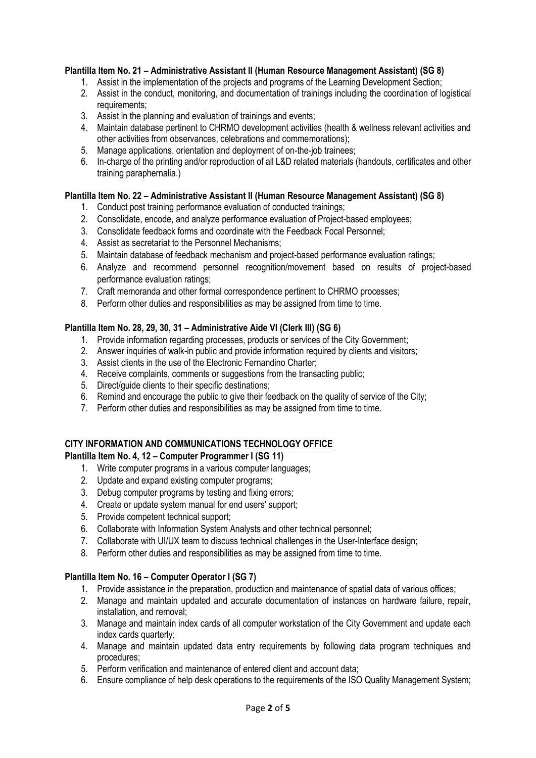### **Plantilla Item No. 21 – Administrative Assistant II (Human Resource Management Assistant) (SG 8)**

- 1. Assist in the implementation of the projects and programs of the Learning Development Section;
- 2. Assist in the conduct, monitoring, and documentation of trainings including the coordination of logistical requirements;
- 3. Assist in the planning and evaluation of trainings and events;
- 4. Maintain database pertinent to CHRMO development activities (health & wellness relevant activities and other activities from observances, celebrations and commemorations);
- 5. Manage applications, orientation and deployment of on-the-job trainees;
- 6. In-charge of the printing and/or reproduction of all L&D related materials (handouts, certificates and other training paraphernalia.)

### **Plantilla Item No. 22 – Administrative Assistant II (Human Resource Management Assistant) (SG 8)**

- 1. Conduct post training performance evaluation of conducted trainings;
- 2. Consolidate, encode, and analyze performance evaluation of Project-based employees;
- 3. Consolidate feedback forms and coordinate with the Feedback Focal Personnel;
- 4. Assist as secretariat to the Personnel Mechanisms;
- 5. Maintain database of feedback mechanism and project-based performance evaluation ratings;
- 6. Analyze and recommend personnel recognition/movement based on results of project-based performance evaluation ratings;
- 7. Craft memoranda and other formal correspondence pertinent to CHRMO processes;
- 8. Perform other duties and responsibilities as may be assigned from time to time.

### **Plantilla Item No. 28, 29, 30, 31 – Administrative Aide VI (Clerk III) (SG 6)**

- 1. Provide information regarding processes, products or services of the City Government;
- 2. Answer inquiries of walk-in public and provide information required by clients and visitors;
- 3. Assist clients in the use of the Electronic Fernandino Charter;
- 4. Receive complaints, comments or suggestions from the transacting public;
- 5. Direct/guide clients to their specific destinations;
- 6. Remind and encourage the public to give their feedback on the quality of service of the City;
- 7. Perform other duties and responsibilities as may be assigned from time to time.

## **CITY INFORMATION AND COMMUNICATIONS TECHNOLOGY OFFICE**

## **Plantilla Item No. 4, 12 – Computer Programmer I (SG 11)**

- 1. Write computer programs in a various computer languages;
- 2. Update and expand existing computer programs;
- 3. Debug computer programs by testing and fixing errors;
- 4. Create or update system manual for end users' support;
- 5. Provide competent technical support;
- 6. Collaborate with Information System Analysts and other technical personnel;
- 7. Collaborate with UI/UX team to discuss technical challenges in the User-Interface design;
- 8. Perform other duties and responsibilities as may be assigned from time to time.

## **Plantilla Item No. 16 – Computer Operator I (SG 7)**

- 1. Provide assistance in the preparation, production and maintenance of spatial data of various offices;
- 2. Manage and maintain updated and accurate documentation of instances on hardware failure, repair, installation, and removal;
- 3. Manage and maintain index cards of all computer workstation of the City Government and update each index cards quarterly;
- 4. Manage and maintain updated data entry requirements by following data program techniques and procedures;
- 5. Perform verification and maintenance of entered client and account data;
- 6. Ensure compliance of help desk operations to the requirements of the ISO Quality Management System;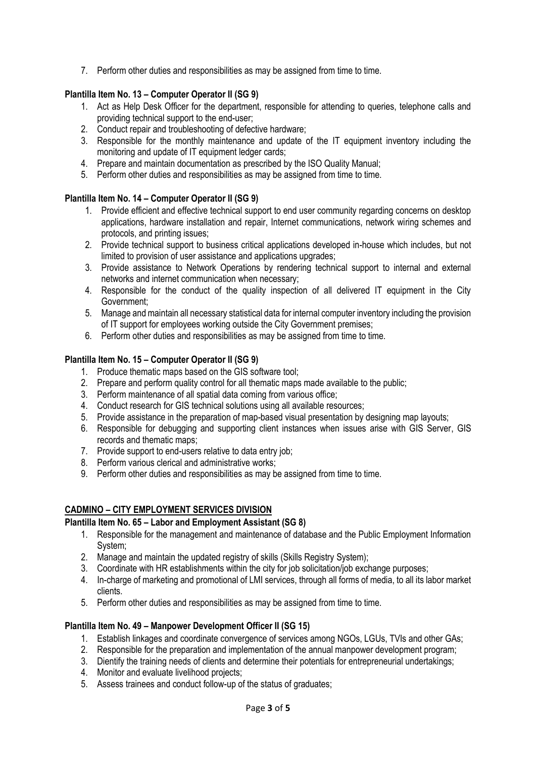7. Perform other duties and responsibilities as may be assigned from time to time.

### **Plantilla Item No. 13 – Computer Operator II (SG 9)**

- 1. Act as Help Desk Officer for the department, responsible for attending to queries, telephone calls and providing technical support to the end-user;
- 2. Conduct repair and troubleshooting of defective hardware;
- 3. Responsible for the monthly maintenance and update of the IT equipment inventory including the monitoring and update of IT equipment ledger cards;
- 4. Prepare and maintain documentation as prescribed by the ISO Quality Manual;
- 5. Perform other duties and responsibilities as may be assigned from time to time.

### **Plantilla Item No. 14 – Computer Operator II (SG 9)**

- 1. Provide efficient and effective technical support to end user community regarding concerns on desktop applications, hardware installation and repair, Internet communications, network wiring schemes and protocols, and printing issues;
- 2. Provide technical support to business critical applications developed in-house which includes, but not limited to provision of user assistance and applications upgrades;
- 3. Provide assistance to Network Operations by rendering technical support to internal and external networks and internet communication when necessary;
- 4. Responsible for the conduct of the quality inspection of all delivered IT equipment in the City Government;
- 5. Manage and maintain all necessary statistical data for internal computer inventory including the provision of IT support for employees working outside the City Government premises;
- 6. Perform other duties and responsibilities as may be assigned from time to time.

### **Plantilla Item No. 15 – Computer Operator II (SG 9)**

- 1. Produce thematic maps based on the GIS software tool;
- 2. Prepare and perform quality control for all thematic maps made available to the public;
- 3. Perform maintenance of all spatial data coming from various office;
- 4. Conduct research for GIS technical solutions using all available resources;
- 5. Provide assistance in the preparation of map-based visual presentation by designing map layouts;
- 6. Responsible for debugging and supporting client instances when issues arise with GIS Server, GIS records and thematic maps;
- 7. Provide support to end-users relative to data entry job;
- 8. Perform various clerical and administrative works;
- 9. Perform other duties and responsibilities as may be assigned from time to time.

### **CADMINO – CITY EMPLOYMENT SERVICES DIVISION**

### **Plantilla Item No. 65 – Labor and Employment Assistant (SG 8)**

- 1. Responsible for the management and maintenance of database and the Public Employment Information System;
- 2. Manage and maintain the updated registry of skills (Skills Registry System);
- 3. Coordinate with HR establishments within the city for job solicitation/job exchange purposes;
- 4. In-charge of marketing and promotional of LMI services, through all forms of media, to all its labor market clients.
- 5. Perform other duties and responsibilities as may be assigned from time to time.

### **Plantilla Item No. 49 – Manpower Development Officer II (SG 15)**

- 1. Establish linkages and coordinate convergence of services among NGOs, LGUs, TVIs and other GAs;
- 2. Responsible for the preparation and implementation of the annual manpower development program;
- 3. Dientify the training needs of clients and determine their potentials for entrepreneurial undertakings;
- 4. Monitor and evaluate livelihood projects;
- 5. Assess trainees and conduct follow-up of the status of graduates;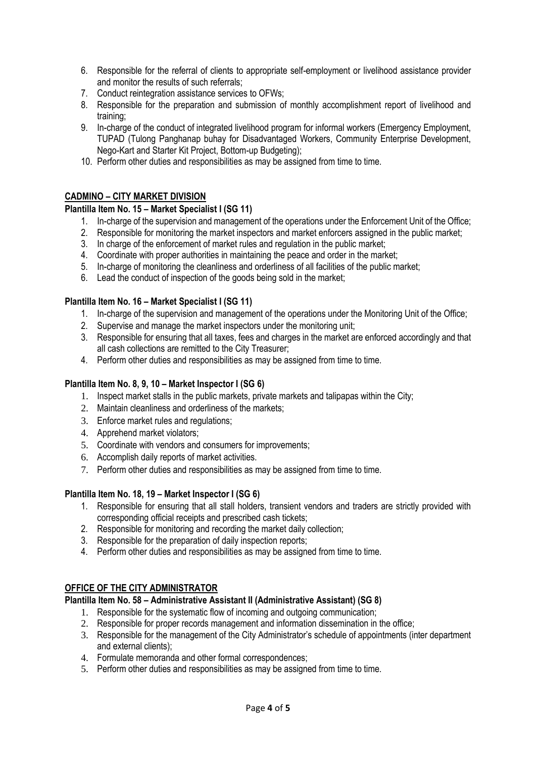- 6. Responsible for the referral of clients to appropriate self-employment or livelihood assistance provider and monitor the results of such referrals;
- 7. Conduct reintegration assistance services to OFWs;
- 8. Responsible for the preparation and submission of monthly accomplishment report of livelihood and training;
- 9. In-charge of the conduct of integrated livelihood program for informal workers (Emergency Employment, TUPAD (Tulong Panghanap buhay for Disadvantaged Workers, Community Enterprise Development, Nego-Kart and Starter Kit Project, Bottom-up Budgeting);
- 10. Perform other duties and responsibilities as may be assigned from time to time.

### **CADMINO – CITY MARKET DIVISION**

### **Plantilla Item No. 15 – Market Specialist I (SG 11)**

- 1. In-charge of the supervision and management of the operations under the Enforcement Unit of the Office;
- 2. Responsible for monitoring the market inspectors and market enforcers assigned in the public market;
- 3. In charge of the enforcement of market rules and regulation in the public market;
- 4. Coordinate with proper authorities in maintaining the peace and order in the market;
- 5. In-charge of monitoring the cleanliness and orderliness of all facilities of the public market;
- 6. Lead the conduct of inspection of the goods being sold in the market;

### **Plantilla Item No. 16 – Market Specialist I (SG 11)**

- 1. In-charge of the supervision and management of the operations under the Monitoring Unit of the Office;
- 2. Supervise and manage the market inspectors under the monitoring unit;
- 3. Responsible for ensuring that all taxes, fees and charges in the market are enforced accordingly and that all cash collections are remitted to the City Treasurer;
- 4. Perform other duties and responsibilities as may be assigned from time to time.

### **Plantilla Item No. 8, 9, 10 – Market Inspector I (SG 6)**

- 1. Inspect market stalls in the public markets, private markets and talipapas within the City;
- 2. Maintain cleanliness and orderliness of the markets;
- 3. Enforce market rules and regulations;
- 4. Apprehend market violators;
- 5. Coordinate with vendors and consumers for improvements;
- 6. Accomplish daily reports of market activities.
- 7. Perform other duties and responsibilities as may be assigned from time to time.

### **Plantilla Item No. 18, 19 – Market Inspector I (SG 6)**

- 1. Responsible for ensuring that all stall holders, transient vendors and traders are strictly provided with corresponding official receipts and prescribed cash tickets;
- 2. Responsible for monitoring and recording the market daily collection;
- 3. Responsible for the preparation of daily inspection reports;
- 4. Perform other duties and responsibilities as may be assigned from time to time.

## **OFFICE OF THE CITY ADMINISTRATOR**

### **Plantilla Item No. 58 – Administrative Assistant II (Administrative Assistant) (SG 8)**

- 1. Responsible for the systematic flow of incoming and outgoing communication;
- 2. Responsible for proper records management and information dissemination in the office;
- 3. Responsible for the management of the City Administrator's schedule of appointments (inter department and external clients);
- 4. Formulate memoranda and other formal correspondences;
- 5. Perform other duties and responsibilities as may be assigned from time to time.